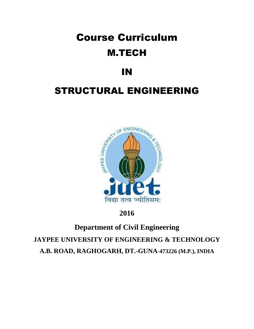# Course Curriculum M.TECH

# IN

# STRUCTURAL ENGINEERING



## **2016**

# **Department of Civil Engineering JAYPEE UNIVERSITY OF ENGINEERING & TECHNOLOGY A.B. ROAD, RAGHOGARH, DT.-GUNA**-**473226 (M.P.), INDIA**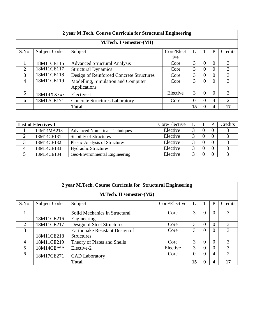| 2 year M.Tech. Course Curricula for Structural Engineering |                         |                                          |                 |    |              |          |                |  |  |  |
|------------------------------------------------------------|-------------------------|------------------------------------------|-----------------|----|--------------|----------|----------------|--|--|--|
|                                                            | M.Tech. I semester-(M1) |                                          |                 |    |              |          |                |  |  |  |
| S.No.                                                      | Subject Code            | Subject                                  | Core/Elect      |    |              | P        | Credits        |  |  |  |
|                                                            |                         |                                          | <sub>1</sub> ve |    |              |          |                |  |  |  |
|                                                            | 18M11CE115              | <b>Advanced Structural Analysis</b>      | Core            | 3  | $\theta$     | $\theta$ | 3              |  |  |  |
| $\mathcal{D}_{\mathcal{L}}$                                | 18M11CE117              | <b>Structural Dynamics</b>               | Core            | 3  | $\theta$     | $\Omega$ | 3              |  |  |  |
| 3                                                          | 18M11CE118              | Design of Reinforced Concrete Structures | Core            | 3  | $\theta$     | $\theta$ | 3              |  |  |  |
| 4                                                          | 18M11CE119              | Modelling, Simulation and Computer       | Core            | 3  | $\Omega$     | $\theta$ | 3              |  |  |  |
|                                                            |                         | Applications                             |                 |    |              |          |                |  |  |  |
| 5                                                          | 18M14XXxxx              | Elective-I                               | Elective        | 3  | $\Omega$     | $\Omega$ | 3              |  |  |  |
| 6                                                          | 18M17CE171              | <b>Concrete Structures Laboratory</b>    | Core            | 0  | $\Omega$     | 4        | $\overline{2}$ |  |  |  |
|                                                            |                         | <b>Total</b>                             |                 | 15 | $\mathbf{0}$ | 4        | 17             |  |  |  |

| <b>List of Electives-I</b> |            | Core/Elective                         | ௱        | D | Credits        |  |
|----------------------------|------------|---------------------------------------|----------|---|----------------|--|
|                            | 14M14MA213 | <b>Advanced Numerical Techniques</b>  | Elective |   | $\overline{0}$ |  |
| ◠                          | 18M14CE131 | <b>Stability of Structures</b>        | Elective |   | $\overline{0}$ |  |
|                            | 18M14CE132 | <b>Plastic Analysis of Structures</b> | Elective |   | $\overline{0}$ |  |
| 4                          | 18M14CE133 | <b>Hydraulic Structures</b>           | Elective |   | $\overline{0}$ |  |
|                            | 18M14CE134 | Geo-Environmental Engineering         | Elective |   | $\overline{0}$ |  |

| 2 year M.Tech. Course Curricula for Structural Engineering |              |                                |               |          |          |          |                |  |  |
|------------------------------------------------------------|--------------|--------------------------------|---------------|----------|----------|----------|----------------|--|--|
| <b>M.Tech. II semester-(M2)</b>                            |              |                                |               |          |          |          |                |  |  |
| S.No.                                                      | Subject Code | Subject                        | Core/Elective |          |          | P        | Credits        |  |  |
| 1                                                          |              | Solid Mechanics in Structural  | Core          | 3        | $\Omega$ | $\Omega$ | 3              |  |  |
|                                                            | 18M11CE216   | Engineering                    |               |          |          |          |                |  |  |
| 2                                                          | 18M11CE217   | Design of Steel Structures     | Core          | 3        | $\Omega$ | $\Omega$ | 3              |  |  |
| 3                                                          |              | Earthquake Resistant Design of | Core          | 3        | $\Omega$ | $\Omega$ | 3              |  |  |
|                                                            | 18M11CE218   | <b>Structures</b>              |               |          |          |          |                |  |  |
| $\overline{4}$                                             | 18M11CE219   | Theory of Plates and Shells    | Core          | 3        | $\Omega$ | $\Omega$ | 3              |  |  |
| 5                                                          | 18M14CE***   | Elective-2                     | Elective      | 3        | 0        | $\Omega$ | 3              |  |  |
| 6                                                          | 18M17CE271   | <b>CAD</b> Laboratory          | Core          | $\Omega$ | $\Omega$ | 4        | $\overline{2}$ |  |  |
|                                                            |              | <b>Total</b>                   |               | 15       |          | Δ        | 17             |  |  |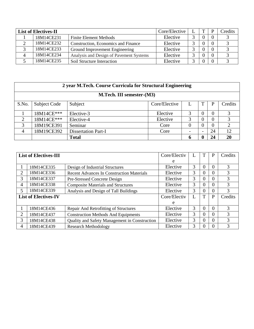| <b>List of Electives-II</b> |            | Core/Elective                           |          | D | Credits  |  |
|-----------------------------|------------|-----------------------------------------|----------|---|----------|--|
|                             | 18M14CE231 | <b>Finite Element Methods</b>           | Elective |   | $\Omega$ |  |
|                             | 18M14CE232 | Construction, Economics and Finance     | Elective |   |          |  |
|                             | 18M14CE233 | Ground Improvement Engineering          | Elective |   | 0        |  |
| Δ                           | 18M14CE234 | Analysis and Design of Pavement Systems | Elective |   | $\theta$ |  |
|                             | 18M14CE235 | Soil Structure Interaction              | Elective |   | $\theta$ |  |

| 2 year M.Tech. Course Curricula for Structural Engineering |              |                            |               |   |                          |          |         |  |  |
|------------------------------------------------------------|--------------|----------------------------|---------------|---|--------------------------|----------|---------|--|--|
| M.Tech. III semester-(M3)                                  |              |                            |               |   |                          |          |         |  |  |
| S.No.                                                      | Subject Code | Subject                    | Core/Elective |   |                          | P        | Credits |  |  |
|                                                            | 18M14CE***   | Elective-3                 | Elective      | 3 | $\theta$                 | $\Omega$ | 3       |  |  |
| 2                                                          | 18M14CE***   | Elective-4                 | Elective      | 3 | $\Omega$                 | $\Omega$ | 3       |  |  |
| 3                                                          | 18M19CE391   | Seminar                    | Core          | 0 | $\theta$                 | $\Omega$ | ↑       |  |  |
| $\overline{4}$                                             | 18M19CE392   | <b>Dissertation Part-I</b> | Core          |   | $\overline{\phantom{a}}$ | 24       | 12      |  |  |
|                                                            |              | <b>Total</b>               |               | 6 | 0                        | 24       | 20      |  |  |

|   | <b>List of Electives-III</b> |                                                  | Core/Electiv |   |   | P | Credits |
|---|------------------------------|--------------------------------------------------|--------------|---|---|---|---------|
|   |                              |                                                  | e            |   |   |   |         |
|   | 18M14CE335                   | Design of Industrial Structures                  | Elective     | 3 | U | 0 | 3       |
| 2 | 18M14CE336                   | <b>Recent Advances In Construction Materials</b> | Elective     | 3 | U | 0 | 3       |
| 3 | 18M14CE337                   | Pre-Stressed Concrete Design                     | Elective     | 3 | 0 | 0 | 3       |
| 4 | 18M14CE338                   | <b>Composite Materials and Structures</b>        | Elective     | 3 |   | 0 | 3       |
| 5 | 18M14CE339                   | Analysis and Design of Tall Buildings            | Elective     | 3 | 0 | 0 | 3       |
|   | <b>List of Electives-IV</b>  |                                                  | Core/Electiv | L | T | P | Credits |
|   |                              |                                                  | e            |   |   |   |         |
|   | 18M14CE436                   | Repair And Retrofitting of Structures            | Elective     | 3 | U | 0 | 3       |
| 2 | 18M14CE437                   | <b>Construction Methods And Equipments</b>       | Elective     | 3 | 0 | 0 | 3       |
| 3 | 18M14CE438                   | Quality and Safety Management in Construction    | Elective     | 3 | 0 | 0 | 3       |
| 4 | 18M14CE439                   | <b>Research Methodology</b>                      | Elective     | 3 |   | 0 | 3       |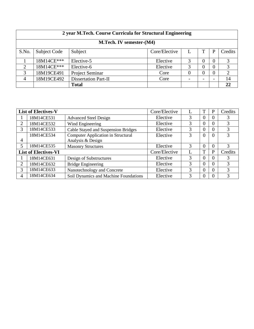| 2 year M.Tech. Course Curricula for Structural Engineering |              |                        |               |          |                          |    |                |  |
|------------------------------------------------------------|--------------|------------------------|---------------|----------|--------------------------|----|----------------|--|
| M.Tech. IV semester-(M4)                                   |              |                        |               |          |                          |    |                |  |
| S.No.                                                      | Subject Code | Subject                | Core/Elective |          |                          |    | Credits        |  |
|                                                            | 18M14CE***   | Elective-5             | Elective      | 3        | 0                        | 0  | 3              |  |
| $\overline{2}$                                             | 18M14CE***   | Elective-6             | Elective      | 3        | 0                        | 0  | 3              |  |
| 3                                                          | 18M19CE491   | <b>Project Seminar</b> | Core          | $\Omega$ | 0                        | () | $\overline{2}$ |  |
| $\overline{4}$                                             | 18M19CE492   | Dissertation Part-II   | Core          |          | $\overline{\phantom{0}}$ |    | 14             |  |
|                                                            |              | <b>Total</b>           |               |          |                          |    | 22             |  |

|                | <b>List of Electives-V</b>  |                                           | Core/Elective |   |              | P              | Credits |
|----------------|-----------------------------|-------------------------------------------|---------------|---|--------------|----------------|---------|
|                | 18M14CE531                  | <b>Advanced Steel Design</b>              | Elective      | 3 | U            | $\overline{0}$ | 3       |
| 2              | 18M14CE532                  | Wind Engineering                          | Elective      | 3 | 0            | 0              | 3       |
| 3              | 18M14CE533                  | Cable Stayed and Suspension Bridges       | Elective      | 3 | 0            | 0              | 3       |
|                | 18M14CE534                  | <b>Computer Application in Structural</b> | Elective      | 3 | $\Omega$     | $\theta$       | 3       |
| $\overline{4}$ |                             | Analysis & Design                         |               |   |              |                |         |
| $\overline{5}$ | 18M14CE535                  | <b>Masonry Structures</b>                 | Elective      | 3 | 0            | $\theta$       | 3       |
|                | <b>List of Electives-VI</b> |                                           | Core/Elective |   | $\mathbf{T}$ | P              | Credits |
|                | 18M14CE631                  | Design of Substructures                   | Elective      | 3 | 0            | $\Omega$       | 3       |
| 2              | 18M14CE632                  | <b>Bridge Engineering</b>                 | Elective      | 3 | $\theta$     | $\Omega$       | 3       |
| 3              | 18M14CE633                  | Nanotechnology and Concrete               | Elective      | 3 | 0            | $\Omega$       | 3       |
| $\overline{4}$ | 18M14CE634                  | Soil Dynamics and Machine Foundations     | Elective      | 3 |              | 0              | 3       |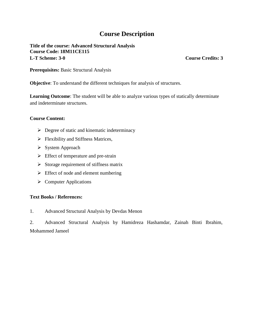**Title of the course: Advanced Structural Analysis Course Code: 18M11CE115 L-T Scheme: 3-0 Course Credits: 3**

**Prerequisites:** Basic Structural Analysis

**Objective**: To understand the different techniques for analysis of structures.

**Learning Outcome**: The student will be able to analyze various types of statically determinate and indeterminate structures.

#### **Course Content:**

- $\triangleright$  Degree of static and kinematic indeterminacy
- $\triangleright$  Flexibility and Stiffness Matrices,
- $\triangleright$  System Approach
- $\triangleright$  Effect of temperature and pre-strain
- $\triangleright$  Storage requirement of stiffness matrix
- $\triangleright$  Effect of node and element numbering
- $\triangleright$  Computer Applications

### **Text Books / References:**

1. Advanced Structural Analysis by Devdas Menon

2. Advanced Structural Analysis by Hamidreza Hashamdar, Zainah Binti Ibrahim, Mohammed Jameel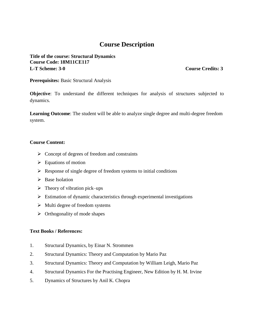**Title of the course: Structural Dynamics Course Code: 18M11CE117 L-T Scheme: 3-0 Course Credits: 3**

**Prerequisites:** Basic Structural Analysis

**Objective**: To understand the different techniques for analysis of structures subjected to dynamics.

**Learning Outcome**: The student will be able to analyze single degree and multi-degree freedom system.

#### **Course Content:**

- $\triangleright$  Concept of degrees of freedom and constraints
- $\triangleright$  Equations of motion
- $\triangleright$  Response of single degree of freedom systems to initial conditions
- $\triangleright$  Base Isolation
- $\triangleright$  Theory of vibration pick–ups
- $\triangleright$  Estimation of dynamic characteristics through experimental investigations
- $\triangleright$  Multi degree of freedom systems
- $\triangleright$  Orthogonality of mode shapes

- 1. Structural Dynamics, by Einar N. Strommen
- 2. Structural Dynamics: Theory and Computation by Mario Paz
- 3. Structural Dynamics: Theory and Computation by William Leigh, Mario Paz
- 4. Structural Dynamics For the Practising Engineer, New Edition by H. M. Irvine
- 5. Dynamics of Structures by Anil K. Chopra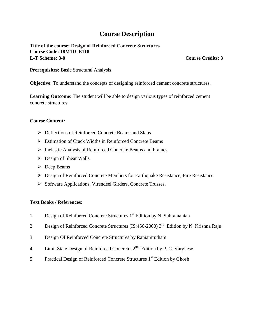**Title of the course: Design of Reinforced Concrete Structures Course Code: 18M11CE118 L-T Scheme: 3-0 Course Credits: 3**

**Prerequisites:** Basic Structural Analysis

**Objective**: To understand the concepts of designing reinforced cement concrete structures.

**Learning Outcome**: The student will be able to design various types of reinforced cement concrete structures.

#### **Course Content:**

- Deflections of Reinforced Concrete Beams and Slabs
- Estimation of Crack Widths in Reinforced Concrete Beams
- Inelastic Analysis of Reinforced Concrete Beams and Frames
- $\triangleright$  Design of Shear Walls
- $\triangleright$  Deep Beams
- Design of Reinforced Concrete Members for Earthquake Resistance, Fire Resistance
- Software Applications, Virendeel Girders, Concrete Trusses.

- 1. Design of Reinforced Concrete Structures 1<sup>st</sup> Edition by N. Subramanian
- 2. Design of Reinforced Concrete Structures (IS:456-2000) 3<sup>rd</sup> Edition by N. Krishna Raju
- 3. Design Of Reinforced Concrete Structures by Ramamrutham
- 4. Limit State Design of Reinforced Concrete,  $2<sup>nd</sup>$  Edition by P. C. Varghese
- 5. Practical Design of Reinforced Concrete Structures 1<sup>st</sup> Edition by Ghosh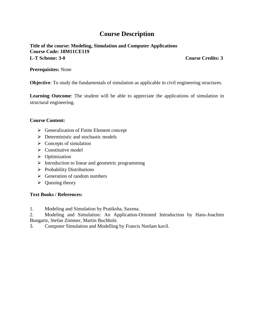**Title of the course: Modeling, Simulation and Computer Applications Course Code: 18M11CE119 L-T Scheme: 3-0 Course Credits: 3**

**Prerequisites:** None

**Objective**: To study the fundamentals of simulation as applicable in civil engineering structures.

**Learning Outcome**: The student will be able to appreciate the applications of simulation in structural engineering.

#### **Course Content:**

- $\triangleright$  Generalization of Finite Element concept
- $\triangleright$  Deterministic and stochastic models
- $\triangleright$  Concepts of simulation
- $\triangleright$  Constitutive model
- $\triangleright$  Optimization
- $\triangleright$  Introduction to linear and geometric programming
- $\triangleright$  Probability Distributions
- $\triangleright$  Generation of random numbers
- $\triangleright$  Queuing theory

#### **Text Books / References:**

1. Modeling and Simulation by Pratiksha, Saxena.

2. Modeling and Simulation: An Application-Oriented Introduction by Hans-Joachim Bungartz, Stefan Zimmer, Martin Buchholz

3. Computer Simulation and Modelling by Francis Neelam kavil.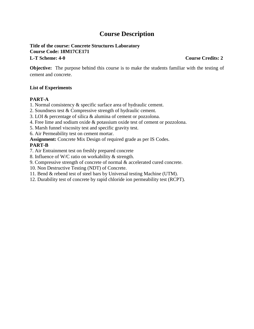#### **Title of the course: Concrete Structures Laboratory Course Code: 18M17CE171 L-T Scheme: 4-0 Course Credits: 2**

**Objective:** The purpose behind this course is to make the students familiar with the testing of cement and concrete.

### **List of Experiments**

### **PART-A**

- 1. Normal consistency & specific surface area of hydraulic cement.
- 2. Soundness test & Compressive strength of hydraulic cement.
- 3. LOI & percentage of silica & alumina of cement or pozzolona.
- 4. Free lime and sodium oxide & potassium oxide test of cement or pozzolona.
- 5. Marsh funnel viscosity test and specific gravity test.
- 6. Air Permeability test on cement mortar.
- **Assignment:** Concrete Mix Design of required grade as per IS Codes.

### **PART-B**

- 7. Air Entrainment test on freshly prepared concrete
- 8. Influence of W/C ratio on workability & strength.
- 9. Compressive strength of concrete of normal & accelerated cured concrete.
- 10. Non Destructive Testing (NDT) of Concrete.
- 11. Bend & rebend test of steel bars by Universal testing Machine (UTM).
- 12. Durability test of concrete by rapid chloride ion permeability test (RCPT).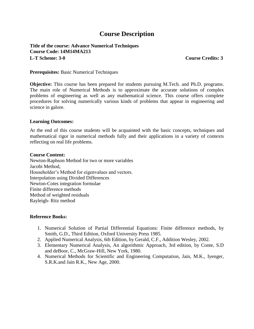**Title of the course: Advance Numerical Techniques Course Code: 14M14MA213 L-T Scheme: 3-0 Course Credits: 3**

**Prerequisites:** Basic Numerical Techniques

**Objective:** This course has been prepared for students pursuing M.Tech. and Ph.D. programs. The main role of Numerical Methods is to approximate the accurate solutions of complex problems of engineering as well as any mathematical science. This course offers complete procedures for solving numerically various kinds of problems that appear in engineering and science in galore.

#### **Learning Outcomes:**

At the end of this course students will be acquainted with the basic concepts, techniques and mathematical rigor in numerical methods fully and their applications in a variety of contexts reflecting on real life problems.

#### **Course Content:**

Newton-Raphson Method for two or more variables Jacobi Method, Householder's Method for eigenvalues and vectors. Interpolation using Divided Differences Newton-Cotes integration formulae Finite difference methods Method of weighted residuals Rayleigh- Ritz method

#### **Reference Books:**

- 1. Numerical Solution of Partial Differential Equations: Finite difference methods, by Smith, G.D., Third Edition, Oxford University Press 1985.
- 2. Applied Numerical Analysis, 6th Edition, by Gerald, C.F., Addition Wesley, 2002.
- 3. Elementary Numerical Analysis, An algorithmic Approach, 3rd edition, by Conte, S.D and deBoor, C., McGraw-Hill, New York, 1980.
- 4. Numerical Methods for Scientific and Engineering Computation, Jain, M.K., Iyenger, S.R.K.and Jain R.K., New Age, 2000.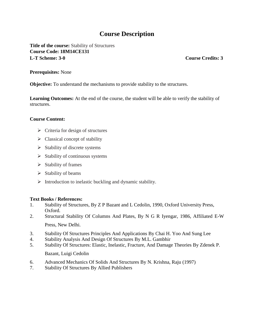**Title of the course:** Stability of Structures **Course Code: 18M14CE131 L-T Scheme: 3-0 Course Credits: 3**

#### **Prerequisites:** None

**Objective:** To understand the mechanisms to provide stability to the structures.

**Learning Outcomes:** At the end of the course, the student will be able to verify the stability of structures.

#### **Course Content:**

- $\triangleright$  Criteria for design of structures
- $\triangleright$  Classical concept of stability
- $\triangleright$  Stability of discrete systems
- $\triangleright$  Stability of continuous systems
- $\triangleright$  Stability of frames
- $\triangleright$  Stability of beams
- $\triangleright$  Introduction to inelastic buckling and dynamic stability.

### **Text Books / References:**

- 1. Stability of Structures, By Z P Bazant and L Cedolin, 1990, Oxford University Press, Oxford.
- 2. Structural Stability Of Columns And Plates, By N G R Iyengar, 1986, Affiliated E-W Press, New Delhi.
- 3. Stability Of Structures Principles And Applications By Chai H. Yoo And Sung Lee
- 4. Stability Analysis And Design Of Structures By M.L. Gambhir
- 5. Stability Of Structures: Elastic, Inelastic, Fracture, And Damage Theories By Zdenek P.

Bazant, Luigi Cedolin

- 6. Advanced Mechanics Of Solids And Structures By N. Krishna, Raju (1997)
- 7. Stability Of Structures By Allied Publishers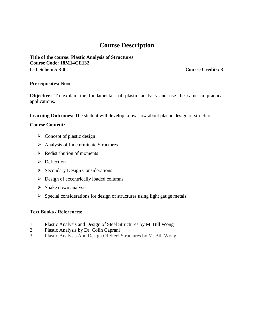**Title of the course: Plastic Analysis of Structures Course Code: 18M14CE132 L-T Scheme: 3-0 Course Credits: 3**

#### **Prerequisites:** None

**Objective:** To explain the fundamentals of plastic analysis and use the same in practical applications.

**Learning Outcomes:** The student will develop know-how about plastic design of structures.

#### **Course Content:**

- $\triangleright$  Concept of plastic design
- $\triangleright$  Analysis of Indeterminate Structures
- $\triangleright$  Redistribution of moments
- $\triangleright$  Deflection
- $\triangleright$  Secondary Design Considerations
- $\triangleright$  Design of eccentrically loaded columns
- $\triangleright$  Shake down analysis
- $\triangleright$  Special considerations for design of structures using light gauge metals.

- 1. Plastic Analysis and Design of Steel Structures by M. Bill Wong
- 2. Plastic Analysis by Dr. Colin Caprani
- 3. Plastic Analysis And Design Of Steel Structures by M. Bill Wong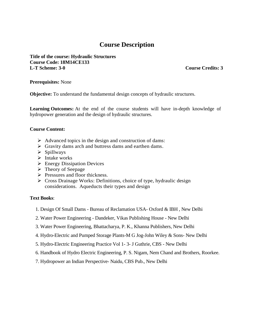**Title of the course: Hydraulic Structures Course Code: 18M14CE133 L-T Scheme: 3-0 Course Credits: 3**

**Prerequisites:** None

**Objective:** To understand the fundamental design concepts of hydraulic structures.

**Learning Outcomes:** At the end of the course students will have in-depth knowledge of hydropower generation and the design of hydraulic structures.

#### **Course Content:**

- $\triangleright$  Advanced topics in the design and construction of dams:
- $\triangleright$  Gravity dams arch and buttress dams and earthen dams.
- $\triangleright$  Spillways
- $\triangleright$  Intake works
- $\triangleright$  Energy Dissipation Devices
- $\triangleright$  Theory of Seepage
- $\triangleright$  Pressures and floor thickness.
- $\triangleright$  Cross Drainage Works: Definitions, choice of type, hydraulic design considerations. Aqueducts their types and design

#### **Text Books**:

- 1. Design Of Small Dams Bureau of Reclamation USA- Oxford & IBH , New Delhi
- 2. Water Power Engineering Dandeker, Vikas Publishing House New Delhi
- 3. Water Power Engineering, Bhattacharya, P. K., Khanna Publishers, New Delhi
- 4. Hydro-Electric and Pumped Storage Plants-M G Jog-John Wiley & Sons- New Delhi
- 5. Hydro-Electric Engineering Practice Vol 1- 3- J Guthrie, CBS New Delhi
- 6. Handbook of Hydro Electric Engineering, P. S. Nigam, Nem Chand and Brothers, Roorkee.
- 7. Hydropower an Indian Perspective- Naidu, CBS Pub., New Delhi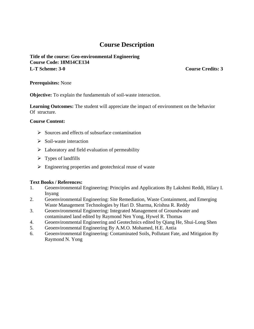#### **Title of the course: Geo-environmental Engineering Course Code: 18M14CE134 L-T Scheme: 3-0 Course Credits: 3**

#### **Prerequisites:** None

**Objective:** To explain the fundamentals of soil-waste interaction.

**Learning Outcomes:** The student will appreciate the impact of environment on the behavior Of structure.

#### **Course Content:**

- $\triangleright$  Sources and effects of subsurface contamination
- $\triangleright$  Soil-waste interaction
- $\triangleright$  Laboratory and field evaluation of permeability
- $\triangleright$  Types of landfills
- $\triangleright$  Engineering properties and geotechnical reuse of waste

- 1. Geoenvironmental Engineering: Principles and Applications By Lakshmi Reddi, Hilary I. Inyang
- 2. Geoenvironmental Engineering: Site Remediation, Waste Containment, and Emerging Waste Management Technologies by Hari D. Sharma, Krishna R. Reddy
- 3. Geoenvironmental Engineering: Integrated Management of Groundwater and contaminated land edited by Raymond Nen Yong, Hywel R. Thomas
- 4. Geoenvironmental Engineering and Geotechnics edited by Qiang He, Shui-Long Shen
- 5. Geoenvironmental Engineering By A.M.O. Mohamed, H.E. Antia
- 6. Geoenvironmental Engineering: Contaminated Soils, Pollutant Fate, and Mitigation By Raymond N. Yong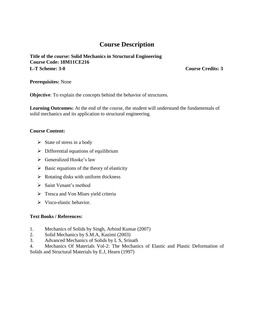**Title of the course: Solid Mechanics in Structural Engineering Course Code: 18M11CE216 L-T Scheme: 3-0 Course Credits: 3**

**Prerequisites:** None

**Objective**: To explain the concepts behind the behavior of structures.

**Learning Outcomes:** At the end of the course, the student will understand the fundamentals of solid mechanics and its application to structural engineering.

#### **Course Content:**

- $\triangleright$  State of stress in a body
- $\triangleright$  Differential equations of equilibrium
- $\triangleright$  Generalized Hooke's law
- $\triangleright$  Basic equations of the theory of elasticity
- $\triangleright$  Rotating disks with uniform thickness
- $\triangleright$  Saint Venant's method
- $\triangleright$  Tresca and Von Mises yield criteria
- $\triangleright$  Visco-elastic behavior.

- 1. Mechanics of Solids by Singh, Arbind Kumar (2007)
- 2. Solid Mechanics by S.M.A, Kazimi (2003)
- 3. Advanced Mechanics of Solids by L S, Srinath
- 4. Mechanics Of Materials Vol-2: The Mechanics of Elastic and Plastic Deformation of Solids and Structural Materials by E.J, Hearn (1997)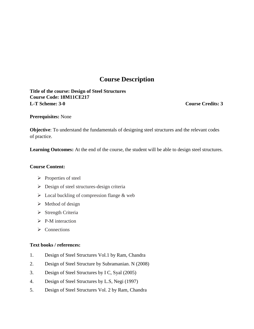**Title of the course: Design of Steel Structures Course Code: 18M11CE217 L-T Scheme: 3-0 Course Credits: 3**

**Prerequisites:** None

**Objective**: To understand the fundamentals of designing steel structures and the relevant codes of practice.

**Learning Outcomes:** At the end of the course, the student will be able to design steel structures.

#### **Course Content:**

- $\triangleright$  Properties of steel
- $\triangleright$  Design of steel structures-design criteria
- $\triangleright$  Local buckling of compression flange & web
- $\triangleright$  Method of design
- $\triangleright$  Strength Criteria
- $\triangleright$  P-M interaction
- $\triangleright$  Connections

- 1. Design of Steel Structures Vol.1 by Ram, Chandra
- 2. Design of Steel Structure by Subramanian. N (2008)
- 3. Design of Steel Structures by I C, Syal (2005)
- 4. Design of Steel Structures by L.S, Negi (1997)
- 5. Design of Steel Structures Vol. 2 by Ram, Chandra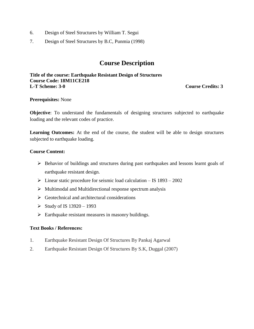- 6. Design of Steel Structures by William T. Segui
- 7. Design of Steel Structures by B.C, Punmia (1998)

**Title of the course: Earthquake Resistant Design of Structures Course Code: 18M11CE218 L-T Scheme: 3-0 Course Credits: 3**

#### **Prerequisites:** None

**Objective**: To understand the fundamentals of designing structures subjected to earthquake loading and the relevant codes of practice.

**Learning Outcomes:** At the end of the course, the student will be able to design structures subjected to earthquake loading.

#### **Course Content:**

- Behavior of buildings and structures during past earthquakes and lessons learnt goals of earthquake resistant design.
- $\triangleright$  Linear static procedure for seismic load calculation IS 1893 2002
- $\triangleright$  Multimodal and Multidirectional response spectrum analysis
- $\triangleright$  Geotechnical and architectural considerations
- Study of IS  $13920 1993$
- $\triangleright$  Earthquake resistant measures in masonry buildings.

- 1. Earthquake Resistant Design Of Structures By Pankaj Agarwal
- 2. Earthquake Resistant Design Of Structures By S.K, Duggal (2007)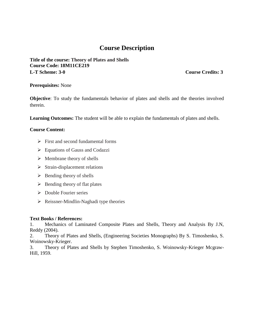**Title of the course: Theory of Plates and Shells Course Code: 18M11CE219 L-T Scheme: 3-0 Course Credits: 3**

#### **Prerequisites:** None

**Objective**: To study the fundamentals behavior of plates and shells and the theories involved therein.

**Learning Outcomes:** The student will be able to explain the fundamentals of plates and shells.

### **Course Content:**

- $\triangleright$  First and second fundamental forms
- Equations of Gauss and Codazzi
- $\triangleright$  Membrane theory of shells
- $\triangleright$  Strain-displacement relations
- $\triangleright$  Bending theory of shells
- $\triangleright$  Bending theory of flat plates
- $\triangleright$  Double Fourier series
- $\triangleright$  Reissner-Mindlin-Naghadi type theories

#### **Text Books / References:**

1. Mechanics of Laminated Composite Plates and Shells, Theory and Analysis By J.N, Reddy (2004).

2. Theory of Plates and Shells, (Engineering Societies Monographs) By S. Timoshenko, S. Woinowsky-Krieger.

3. Theory of Plates and Shells by Stephen Timoshenko, S. Woinowsky-Krieger Mcgraw-Hill, 1959.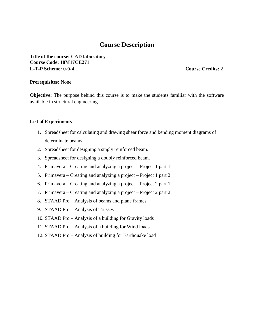**Title of the course: CAD laboratory Course Code: 18M17CE271 L-T-P Scheme: 0-0-4 Course Credits: 2**

#### **Prerequisites:** None

**Objective:** The purpose behind this course is to make the students familiar with the software available in structural engineering.

#### **List of Experiments**

- 1. Spreadsheet for calculating and drawing shear force and bending moment diagrams of determinate beams.
- 2. Spreadsheet for designing a singly reinforced beam.
- 3. Spreadsheet for designing a doubly reinforced beam.
- 4. Primavera Creating and analyzing a project Project 1 part 1
- 5. Primavera Creating and analyzing a project Project 1 part 2
- 6. Primavera Creating and analyzing a project Project 2 part 1
- 7. Primavera Creating and analyzing a project Project 2 part 2
- 8. STAAD.Pro Analysis of beams and plane frames
- 9. STAAD.Pro Analysis of Trusses
- 10. STAAD.Pro Analysis of a building for Gravity loads
- 11. STAAD.Pro Analysis of a building for Wind loads
- 12. STAAD.Pro Analysis of building for Earthquake load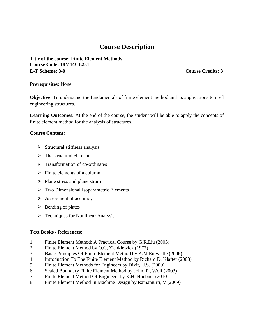**Title of the course: Finite Element Methods Course Code: 18M14CE231 L-T Scheme: 3-0 Course Credits: 3**

#### **Prerequisites:** None

**Objective**: To understand the fundamentals of finite element method and its applications to civil engineering structures.

**Learning Outcomes:** At the end of the course, the student will be able to apply the concepts of finite element method for the analysis of structures.

#### **Course Content:**

- $\triangleright$  Structural stiffness analysis
- $\triangleright$  The structural element
- $\triangleright$  Transformation of co-ordinates
- $\triangleright$  Finite elements of a column
- $\triangleright$  Plane stress and plane strain
- Two Dimensional Isoparametric Elements
- $\triangleright$  Assessment of accuracy
- $\triangleright$  Bending of plates
- $\triangleright$  Techniques for Nonlinear Analysis

- 1. Finite Element Method: A Practical Course by G.R.Liu (2003)
- 2. Finite Element Method by O.C, Zienkiewicz (1977)
- 3. Basic Principles Of Finite Element Method by K.M.Entwistle (2006)
- 4. Introduction To The Finite Element Method by Richard D, Klafter (2008)
- 5. Finite Element Methods for Engineers by Dixit, U.S. (2009)
- 6. Scaled Boundary Finite Element Method by John. P , Wolf (2003)
- 7. Finite Element Method Of Engineers by K.H, Huebner (2010)
- 8. Finite Element Method In Machine Design by Ramamurti, V (2009)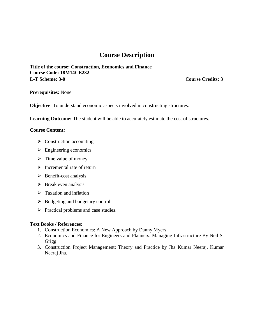**Title of the course: Construction, Economics and Finance Course Code: 18M14CE232 L-T Scheme: 3-0 Course Credits: 3**

**Prerequisites:** None

**Objective**: To understand economic aspects involved in constructing structures.

**Learning Outcome:** The student will be able to accurately estimate the cost of structures.

#### **Course Content:**

- $\triangleright$  Construction accounting
- $\triangleright$  Engineering economics
- $\triangleright$  Time value of money
- $\triangleright$  Incremental rate of return
- $\triangleright$  Benefit-cost analysis
- $\triangleright$  Break even analysis
- $\triangleright$  Taxation and inflation
- $\triangleright$  Budgeting and budgetary control
- $\triangleright$  Practical problems and case studies.

- 1. Construction Economics: A New Approach by Danny Myers
- 2. Economics and Finance for Engineers and Planners: Managing Infrastructure By Neil S. Grigg
- 3. Construction Project Management: Theory and Practice by Jha Kumar Neeraj, Kumar Neeraj Jha.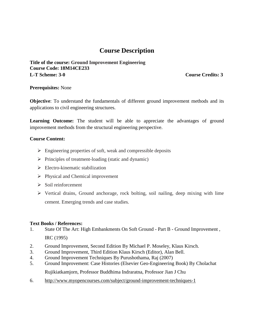**Title of the course: Ground Improvement Engineering Course Code: 18M14CE233 L-T Scheme: 3-0 Course Credits: 3**

#### **Prerequisites:** None

**Objective**: To understand the fundamentals of different ground improvement methods and its applications to civil engineering structures.

Learning Outcome: The student will be able to appreciate the advantages of ground improvement methods from the structural engineering perspective.

#### **Course Content:**

- $\triangleright$  Engineering properties of soft, weak and compressible deposits
- $\triangleright$  Principles of treatment-loading (static and dynamic)
- $\triangleright$  Electro-kinematic stabilization
- $\triangleright$  Physical and Chemical improvement
- $\triangleright$  Soil reinforcement
- $\triangleright$  Vertical drains, Ground anchorage, rock bolting, soil nailing, deep mixing with lime cement. Emerging trends and case studies.

- 1. State Of The Art: High Embankments On Soft Ground Part B Ground Improvement , IRC (1995)
- 2. Ground Improvement, Second Edition By Michael P. Moseley, Klaus Kirsch.
- 3. Ground Improvement, Third Edition Klaus Kirsch (Editor), Alan Bell.
- 4. Ground Improvement Techniques By Purushothama, Raj (2007)
- 5. Ground Improvement: Case Histories (Elsevier Geo-Engineering Book) By Cholachat Rujikiatkamjorn, Professor Buddhima Indraratna, Professor Jian J Chu
- 6. http://www.myopencourses.com/subject/ground-improvement-techniques-1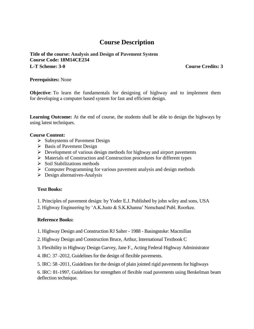#### **Title of the course: Analysis and Design of Pavement System Course Code: 18M14CE234 L-T Scheme: 3-0 Course Credits: 3**

#### **Prerequisites:** None

**Objective**: To learn the fundamentals for designing of highway and to implement them for developing a computer based system for fast and efficient design.

**Learning Outcome:** At the end of course, the students shall be able to design the highways by using latest techniques.

#### **Course Content:**

- $\triangleright$  Subsystems of Pavement Design
- $\triangleright$  Basis of Pavement Design
- $\triangleright$  Development of various design methods for highway and airport pavements
- $\triangleright$  Materials of Construction and Construction procedures for different types
- $\triangleright$  Soil Stabilizations methods
- $\triangleright$  Computer Programming for various pavement analysis and design methods
- $\triangleright$  Design alternatives-Analysis

#### **Text Books:**

1. Principles of pavement design: by Yoder E.J. Published by john wiley and sons, USA

2. Highway Engineering by 'A.K.Justo & S.K.Khanna' Nemchand Publ. Roorkee.

#### **Reference Books:**

1. Highway Design and Construction RJ Salter - 1988 - Basingstoke: Macmillan

2. Highway Design and Construction Bruce, Arthur, International Textbook C

3. Flexibility in Highway Design Garvey, Jane F., Acting Federal Highway Administrator

4. IRC: 37 -2012, Guidelines for the design of flexible pavements.

5. IRC: 58 -2011, Guidelines for the design of plain jointed rigid pavements for highways

6. IRC: 81-1997, Guidelines for strengthen of flexible road pavements using Benkelman beam deflection technique.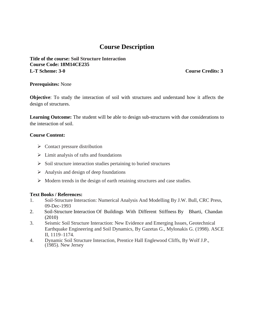**Title of the course: Soil Structure Interaction Course Code: 18M14CE235 L-T Scheme: 3-0 Course Credits: 3**

#### **Prerequisites:** None

**Objective**: To study the interaction of soil with structures and understand how it affects the design of structures.

**Learning Outcome:** The student will be able to design sub-structures with due considerations to the interaction of soil.

#### **Course Content:**

- $\triangleright$  Contact pressure distribution
- $\triangleright$  Limit analysis of rafts and foundations
- $\triangleright$  Soil structure interaction studies pertaining to buried structures
- $\triangleright$  Analysis and design of deep foundations
- $\triangleright$  Modern trends in the design of earth retaining structures and case studies.

- 1. Soil-Structure Interaction: Numerical Analysis And Modelling By J.W. Bull, CRC Press, 09-Dec-1993
- 2. Soil-Structure Interaction Of Buildings With Different Stiffness By Bharti, Chandan (2010)
- 3. Seismic Soil Structure Interaction: New Evidence and Emerging Issues, Geotechnical Earthquake Engineering and Soil Dynamics, By Gazetas G., Mylonakis G. (1998). ASCE II, 1119–1174.
- 4. Dynamic Soil Structure Interaction, Prentice Hall Englewood Cliffs, By Wolf J.P., (1985). New Jersey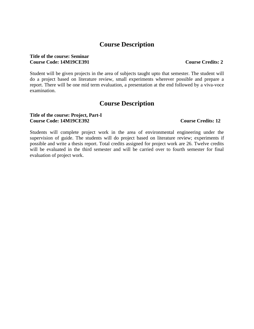#### **Title of the course: Seminar Course Code: 14M19CE391 Course Credits: 2**

#### Student will be given projects in the area of subjects taught upto that semester. The student will do a project based on literature review, small experiments wherever possible and prepare a report. There will be one mid term evaluation, a presentation at the end followed by a viva-voce examination.

### **Course Description**

#### **Title of the course: Project, Part-I Course Code: 14M19CE392 Course Credits: 12**

Students will complete project work in the area of environmental engineering under the supervision of guide. The students will do project based on literature review; experiments if possible and write a thesis report. Total credits assigned for project work are 26. Twelve credits will be evaluated in the third semester and will be carried over to fourth semester for final evaluation of project work.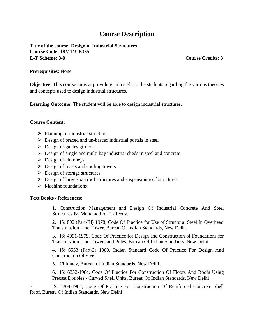**Title of the course: Design of Industrial Structures Course Code: 18M14CE335 L-T Scheme: 3-0 Course Credits: 3**

#### **Prerequisites:** None

**Objective**: This course aims at providing an insight to the students regarding the various theories and concepts used to design industrial structures.

**Learning Outcome:** The student will be able to design industrial structures.

#### **Course Content:**

- $\triangleright$  Planning of industrial structures
- $\triangleright$  Design of braced and un-braced industrial portals in steel
- $\triangleright$  Design of gantry girder
- $\triangleright$  Design of single and multi bay industrial sheds in steel and concrete.
- $\triangleright$  Design of chimneys
- $\triangleright$  Design of masts and cooling towers
- $\triangleright$  Design of storage structures
- $\triangleright$  Design of large span roof structures and suspension roof structures
- $\triangleright$  Machine foundations

#### **Text Books / References:**

1. Construction Management and Design Of Industrial Concrete And Steel Structures By Mohamed A. El-Reedy.

2. IS: 802 (Part-III) 1978, Code Of Practice for Use of Structural Steel In Overhead Transmission Line Tower, Bureau Of Indian Standards, New Delhi.

3. IS: 4091-1979, Code Of Practice for Design and Construction of Foundations for Transmission Line Towers and Poles, Bureau Of Indian Standards, New Delhi.

4. IS: 6533 (Part-2) 1989, Indian Standard Code Of Practice For Design And Construction Of Steel

5. Chimney, Bureau of Indian Standards, New Delhi.

6. IS: 6332-1984, Code Of Practice For Construction Of Floors And Roofs Using Precast Doubles ‐ Curved Shell Units, Bureau Of Indian Standards, New Delhi

7. IS: 2204-1962, Code Of Practice For Construction Of Reinforced Concrete Shell Roof, Bureau Of Indian Standards, New Delhi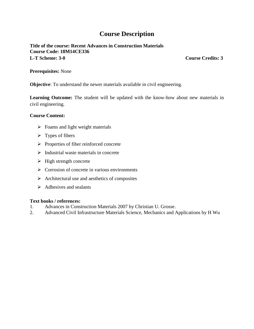### **Title of the course: Recent Advances in Construction Materials Course Code: 18M14CE336 L-T Scheme: 3-0 Course Credits: 3**

#### **Prerequisites:** None

**Objective**: To understand the newer materials available in civil engineering.

**Learning Outcome:** The student will be updated with the know-how about new materials in civil engineering.

#### **Course Content:**

- $\triangleright$  Foams and light weight materials
- $\triangleright$  Types of fibers
- $\triangleright$  Properties of fiber reinforced concrete
- $\triangleright$  Industrial waste materials in concrete
- $\triangleright$  High strength concrete
- $\triangleright$  Corrosion of concrete in various environments
- $\triangleright$  Architectural use and aesthetics of composites
- $\triangleright$  Adhesives and sealants

- 1. Advances in Construction Materials 2007 by Christian U. Grosse.
- 2. Advanced Civil Infrastructure Materials Science, Mechanics and Applications by H Wu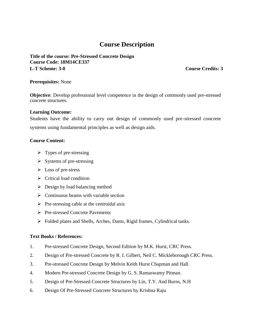**Title of the course: Pre-Stressed Concrete Design Course Code: 18M14CE337 L-T Scheme: 3-0 Course Credits: 3**

#### **Prerequisites:** None

**Objective**: Develop professional level competence in the design of commonly used pre-stressed concrete structures.

#### **Learning Outcome:**

Students have the ability to carry out design of commonly used pre-stressed concrete systems using fundamental principles as well as design aids.

#### **Course Content:**

- $\triangleright$  Types of pre-stressing
- $\triangleright$  Systems of pre-stressing
- $\triangleright$  Loss of pre-stress
- $\triangleright$  Critical load condition
- $\triangleright$  Design by load balancing method
- $\triangleright$  Continuous beams with variable section
- $\triangleright$  Pre-stressing cable at the centroidal axis
- Pre-stressed Concrete Pavements
- Folded plates and Shells, Arches, Dams, Rigid frames, Cylindrical tanks.

- 1. Pre-stressed Concrete Design, Second Edition by M.K. Hurst, CRC Press.
- 2. Design of Pre-stressed Concrete by R. I. Gilbert, Neil C. Mickleborough CRC Press.
- 3. Pre-stressed Concrete Design by Melvin Keith Hurst Chapman and Hall.
- 4. Modern Pre-stressed Concrete Design by G. S. Ramaswamy Pitman.
- 5. Design of Pre-Stressed Concrete Structures by Lin, T.Y. And Burns, N.H
- 6. Design Of Pre-Stressed Concrete Structures by Krishna Raju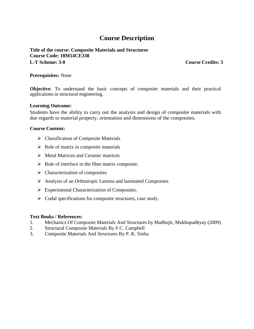**Title of the course: Composite Materials and Structures Course Code: 18M14CE338 L-T Scheme: 3-0 Course Credits: 3**

#### **Prerequisites:** None

**Objective**: To understand the basic concepts of composite materials and their practical applications in structural engineering.

#### **Learning Outcome:**

Students have the ability to carry out the analysis and design of composite materials with due regards to material property, orientation and dimensions of the composites.

#### **Course Content:**

- $\triangleright$  Classification of Composite Materials
- $\triangleright$  Role of matrix in composite materials
- $\triangleright$  Metal Matrices and Ceramic matrices
- $\triangleright$  Role of interface in the fiber matrix composite.
- $\triangleright$  Characterization of composites
- Analysis of an Orthotropic Lamina and laminated Composites
- > Experimental Characterization of Composites.
- $\triangleright$  Codal specifications for composite structures, case study.

- 1. Mechanics Of Composite Materials And Structures by Madhujit, Mukhopadhyay (2009)
- 2. Structural Composite Materials By F.C. Campbell
- 3. Composite Materials And Structures By P. K. Sinha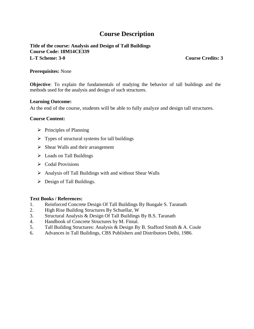### **Title of the course: Analysis and Design of Tall Buildings Course Code: 18M14CE339 L-T Scheme: 3-0 Course Credits: 3**

#### **Prerequisites:** None

**Objective**: To explain the fundamentals of studying the behavior of tall buildings and the methods used for the analysis and design of such structures.

#### **Learning Outcome:**

At the end of the course, students will be able to fully analyze and design tall structures.

#### **Course Content:**

- $\triangleright$  Principles of Planning
- $\triangleright$  Types of structural systems for tall buildings
- $\triangleright$  Shear Walls and their arrangement
- $\triangleright$  Loads on Tall Buildings
- $\triangleright$  Codal Provisions
- $\triangleright$  Analysis off Tall Buildings with and without Shear Walls
- $\triangleright$  Design of Tall Buildings.

- 1. Reinforced Concrete Design Of Tall Buildings By Bungale S. Taranath
- 2. High Rise Building Structures By Schuellar, W
- 3. Structural Analysis & Design Of Tall Buildings By B.S. Taranath
- 4. Handbook of Concrete Structures by M. Fintal.
- 5. Tall Building Structures: Analysis & Design By B. Stafford Smith & A. Coule
- 6. Advances in Tall Buildings, CBS Publishers and Distributors Delhi, 1986.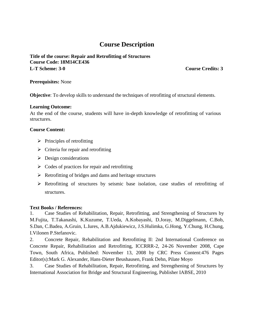**Title of the course: Repair and Retrofitting of Structures Course Code: 18M14CE436 L-T Scheme: 3-0 Course Credits: 3**

#### **Prerequisites:** None

**Objective**: To develop skills to understand the techniques of retrofitting of structural elements.

#### **Learning Outcome:**

At the end of the course, students will have in-depth knowledge of retrofitting of various structures.

#### **Course Content:**

- $\triangleright$  Principles of retrofitting
- $\triangleright$  Criteria for repair and retrofitting
- $\triangleright$  Design considerations
- $\triangleright$  Codes of practices for repair and retrofitting
- $\triangleright$  Retrofitting of bridges and dams and heritage structures
- Retrofitting of structures by seismic base isolation, case studies of retrofitting of structures.

### **Text Books / References:**

1. Case Studies of Rehabilitation, Repair, Retrofitting, and Strengthening of Structures by M.Fujita, T.Takanashi, K.Kuzume, T.Ueda, A.Kobayashi, D.Joray, M.Diggelmann, C.Bob, S.Dan, C.Badea, A.Gruin, L.Iures, A.B.Ajdukiewicz, J.S.Hulimka, G.Hong, Y.Chung, H.Chung, I.Vilonen P.Stefanovic.

2. Concrete Repair, Rehabilitation and Retrofitting II: 2nd International Conference on Concrete Repair, Rehabilitation and Retrofitting, ICCRRR-2, 24-26 November 2008, Cape Town, South Africa, Published: November 13, 2008 by CRC Press Content:476 Pages Editor(s):Mark G. Alexander, Hans-Dieter Beushausen, Frank Dehn, Pilate Moyo

3. Case Studies of Rehabilitation, Repair, Retrofitting, and Strengthening of Structures by International Association for Bridge and Structural Engineering, Publisher IABSE, 2010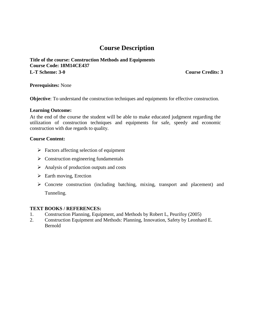**Title of the course: Construction Methods and Equipments Course Code: 18M14CE437 L-T Scheme: 3-0 Course Credits: 3**

#### **Prerequisites:** None

**Objective**: To understand the construction techniques and equipments for effective construction.

#### **Learning Outcome:**

At the end of the course the student will be able to make educated judgment regarding the utilization of construction techniques and equipments for safe, speedy and economic construction with due regards to quality.

#### **Course Content:**

- $\triangleright$  Factors affecting selection of equipment
- $\triangleright$  Construction engineering fundamentals
- $\triangleright$  Analysis of production outputs and costs
- $\triangleright$  Earth moving, Erection
- Concrete construction (including batching, mixing, transport and placement) and Tunneling.

#### **TEXT BOOKS / REFERENCES:**

- 1. Construction Planning, Equipment, and Methods by Robert L, Peurifoy (2005)
- 2. Construction Equipment and Methods: Planning, Innovation, Safety by Leonhard E. Bernold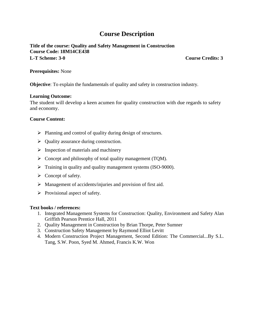### **Title of the course: Quality and Safety Management in Construction Course Code: 18M14CE438 L-T Scheme: 3-0 Course Credits: 3**

#### **Prerequisites:** None

**Objective**: To explain the fundamentals of quality and safety in construction industry.

#### **Learning Outcome:**

The student will develop a keen acumen for quality construction with due regards to safety and economy.

#### **Course Content:**

- $\triangleright$  Planning and control of quality during design of structures.
- $\triangleright$  Quality assurance during construction.
- $\triangleright$  Inspection of materials and machinery
- $\triangleright$  Concept and philosophy of total quality management (TQM).
- $\triangleright$  Training in quality and quality management systems (ISO-9000).
- $\triangleright$  Concept of safety.
- $\triangleright$  Management of accidents/injuries and provision of first aid.
- $\triangleright$  Provisional aspect of safety.

- 1. Integrated Management Systems for Construction: Quality, Environment and Safety Alan Griffith Pearson Prentice Hall, 2011
- 2. Quality Management in Construction by Brian Thorpe, Peter Sumner
- 3. Construction Safety Management by Raymond Elliot Levitt
- 4. Modern Construction Project Management, Second Edition: The Commercial...By S.L. Tang, S.W. Poon, Syed M. Ahmed, Francis K.W. Won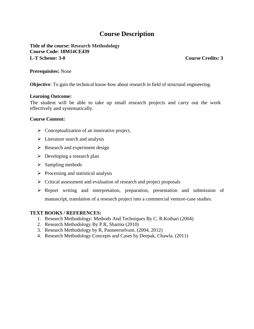**Title of the course: Research Methodology Course Code: 18M14CE439 L-T Scheme: 3-0 Course Credits: 3**

#### **Prerequisites:** None

**Objective**: To gain the technical know-how about research in field of structural engineering.

#### **Learning Outcome:**

The student will be able to take up small research projects and carry out the work effectively and systematically.

#### **Course Content:**

- $\triangleright$  Conceptualization of an innovative project,
- $\triangleright$  Literature search and analysis
- $\triangleright$  Research and experiment design
- $\triangleright$  Developing a research plan
- $\triangleright$  Sampling methods
- $\triangleright$  Processing and statistical analysis
- $\triangleright$  Critical assessment and evaluation of research and project proposals
- Report writing and interpretation, preparation, presentation and submission of manuscript, translation of a research project into a commercial venture-case studies.

#### **TEXT BOOKS / REFERENCES:**

- 1. Research Methodology: Methods And Techniques By C. R.Kothari (2004)
- 2. Research Methodology By P.R, Sharma (2010)
- 3. Research Methodology by R, Panneerselvam. (2004, 2012)
- 4. Research Methodology Concepts and Cases by Deepak, Chawla. (2011)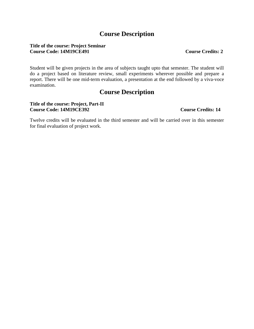#### **Title of the course: Project Seminar Course Code: 14M19CE491** Course Credits: 2

Student will be given projects in the area of subjects taught upto that semester. The student will do a project based on literature review, small experiments wherever possible and prepare a report. There will be one mid-term evaluation, a presentation at the end followed by a viva-voce examination.

### **Course Description**

#### **Title of the course: Project, Part-II Course Code: 14M19CE392 Course Credits: 14**

Twelve credits will be evaluated in the third semester and will be carried over in this semester for final evaluation of project work.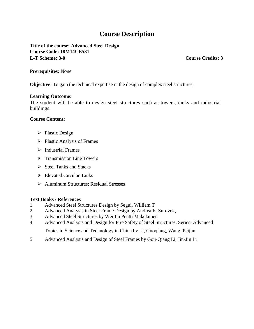**Title of the course: Advanced Steel Design Course Code: 18M14CE531 L-T Scheme: 3-0 Course Credits: 3**

#### **Prerequisites:** None

**Objective**: To gain the technical expertise in the design of complex steel structures.

#### **Learning Outcome:**

The student will be able to design steel structures such as towers, tanks and industrial buildings.

#### **Course Content:**

- $\triangleright$  Plastic Design
- $\triangleright$  Plastic Analysis of Frames
- $\triangleright$  Industrial Frames
- $\triangleright$  Transmission Line Towers
- $\triangleright$  Steel Tanks and Stacks
- $\triangleright$  Elevated Circular Tanks
- > Aluminum Structures; Residual Stresses

- 1. Advanced Steel Structures Design by Segui, William T
- 2. Advanced Analysis in Steel Frame Design by Andrea E. Surovek,
- 3. Advanced Steel Structures by Wei Lu Pentti Mäkeläinen
- 4. Advanced Analysis and Design for Fire Safety of Steel Structures, Series: Advanced Topics in Science and Technology in China by Li, Guoqiang, Wang, Peijun
- 5. Advanced Analysis and Design of Steel Frames by Gou-Qiang Li, Jin-Jin Li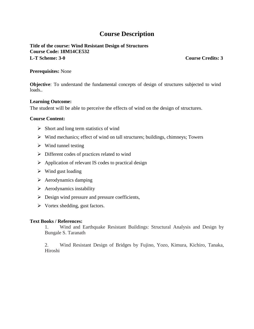**Title of the course: Wind Resistant Design of Structures Course Code: 18M14CE532 L-T Scheme: 3-0 Course Credits: 3**

#### **Prerequisites:** None

**Objective**: To understand the fundamental concepts of design of structures subjected to wind loads..

#### **Learning Outcome:**

The student will be able to perceive the effects of wind on the design of structures.

#### **Course Content:**

- $\triangleright$  Short and long term statistics of wind
- $\triangleright$  Wind mechanics; effect of wind on tall structures; buildings, chimneys; Towers
- $\triangleright$  Wind tunnel testing
- $\triangleright$  Different codes of practices related to wind
- $\triangleright$  Application of relevant IS codes to practical design
- $\triangleright$  Wind gust loading
- $\triangleright$  Aerodynamics damping
- $\triangleright$  Aerodynamics instability
- $\triangleright$  Design wind pressure and pressure coefficients,
- $\triangleright$  Vortex shedding, gust factors.

#### **Text Books / References:**

1. Wind and Earthquake Resistant Buildings: Structural Analysis and Design by Bungale S. Taranath

2. Wind Resistant Design of Bridges by Fujino, Yozo, Kimura, Kichiro, Tanaka, Hiroshi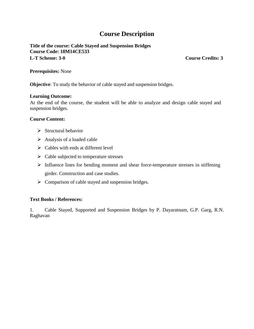**Title of the course: Cable Stayed and Suspension Bridges Course Code: 18M14CE533 L-T Scheme: 3-0 Course Credits: 3**

#### **Prerequisites:** None

**Objective**: To study the behavior of cable stayed and suspension bridges.

#### **Learning Outcome:**

At the end of the course, the student will be able to analyze and design cable stayed and suspension bridges.

#### **Course Content:**

- $\triangleright$  Structural behavior
- $\triangleright$  Analysis of a loaded cable
- $\triangleright$  Cables with ends at different level
- $\triangleright$  Cable subjected to temperature stresses
- $\triangleright$  Influence lines for bending moment and shear force-temperature stresses in stiffening girder. Construction and case studies.
- $\triangleright$  Comparison of cable stayed and suspension bridges.

#### **Text Books / References:**

1. Cable Stayed, Supported and Suspension Bridges by P. Dayaratnam, G.P. Garg, R.N. Raghavan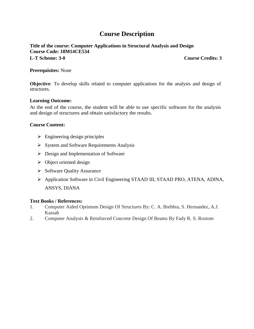**Title of the course: Computer Applications in Structural Analysis and Design Course Code: 18M14CE534 L-T Scheme: 3-0 Course Credits: 3**

#### **Prerequisites:** None

**Objective**: To develop skills related to computer applications for the analysis and design of structures.

#### **Learning Outcome:**

At the end of the course, the student will be able to use specific software for the analysis and design of structures and obtain satisfactory the results.

#### **Course Content:**

- $\triangleright$  Engineering design principles
- $\triangleright$  System and Software Requirements Analysis
- $\triangleright$  Design and Implementation of Software
- $\triangleright$  Object oriented design
- $\triangleright$  Software Quality Assurance
- Application Software in Civil Engineering STAAD III, STAAD PRO, ATENA, ADINA, ANSYS, DIANA

- 1. Computer Aided Optimum Design Of Structures By: C. A. Brebbia, S. Hernandez, A.J. Kassab
- 2. Computer Analysis & Reinforced Concrete Design Of Beams By Fady R. S. Rostom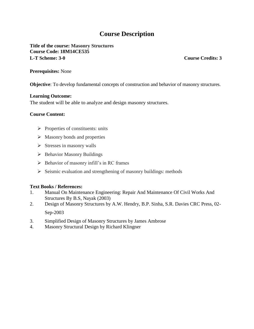**Title of the course: Masonry Structures Course Code: 18M14CE535 L-T Scheme: 3-0 Course Credits: 3**

#### **Prerequisites:** None

**Objective**: To develop fundamental concepts of construction and behavior of masonry structures.

#### **Learning Outcome:**

The student will be able to analyze and design masonry structures.

#### **Course Content:**

- $\triangleright$  Properties of constituents: units
- $\triangleright$  Masonry bonds and properties
- $\triangleright$  Stresses in masonry walls
- $\triangleright$  Behavior Masonry Buildings
- $\triangleright$  Behavior of masonry infill's in RC frames
- $\triangleright$  Seismic evaluation and strengthening of masonry buildings: methods

- 1. Manual On Maintenance Engineering: Repair And Maintenance Of Civil Works And Structures By B.S, Nayak (2003)
- 2. Design of Masonry Structures by A.W. Hendry, B.P. Sinha, S.R. Davies CRC Press, 02- Sep-2003
- 3. Simplified Design of Masonry Structures by James Ambrose
- 4. Masonry Structural Design by Richard Klingner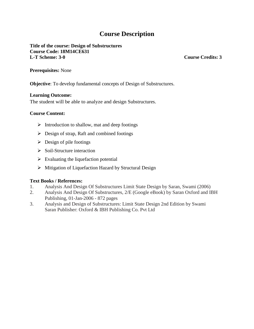**Title of the course: Design of Substructures Course Code: 18M14CE631 L-T Scheme: 3-0 Course Credits: 3**

**Prerequisites:** None

**Objective**: To develop fundamental concepts of Design of Substructures.

#### **Learning Outcome:**

The student will be able to analyze and design Substructures.

#### **Course Content:**

- $\triangleright$  Introduction to shallow, mat and deep footings
- $\triangleright$  Design of strap, Raft and combined footings
- $\triangleright$  Design of pile footings
- $\triangleright$  Soil-Structure interaction
- $\triangleright$  Evaluating the liquefaction potential
- $\triangleright$  Mitigation of Liquefaction Hazard by Structural Design

- 1. Analysis And Design Of Substructures Limit State Design by Saran, Swami (2006)
- 2. Analysis And Design Of Substructures, 2/E (Google eBook) by Saran Oxford and IBH Publishing, 01-Jan-2006 - 872 pages
- 3. Analysis and Design of Substructures: Limit State Design 2nd Edition by Swami Saran Publisher: Oxford & IBH Publishing Co. Pvt Ltd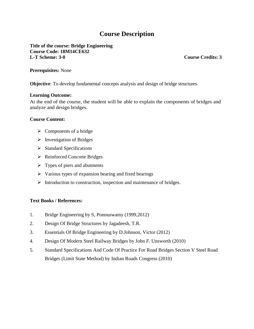**Title of the course: Bridge Engineering Course Code: 18M14CE632 L-T Scheme: 3-0 Course Credits: 3**

#### **Prerequisites:** None

**Objective**: To develop fundamental concepts analysis and design of bridge structures.

#### **Learning Outcome:**

At the end of the course, the student will be able to explain the components of bridges and analyze and design bridges.

#### **Course Content:**

- $\triangleright$  Components of a bridge
- $\triangleright$  Investigation of Bridges
- $\triangleright$  Standard Specifications
- **►** Reinforced Concrete Bridges
- $\triangleright$  Types of piers and abutments
- $\triangleright$  Various types of expansion bearing and fixed bearings
- $\triangleright$  Introduction to construction, inspection and maintenance of bridges.

- 1. Bridge Engineering by S, Ponnuswamy (1999,2012)
- 2. Design Of Bridge Structures by Jagadeesh, T.R.
- 3. Essentials Of Bridge Engineering by D.Johnson, Victor (2012)
- 4. Design Of Modern Steel Railway Bridges by John F. Unsworth (2010)
- 5. Standard Specifications And Code Of Practice For Road Bridges Section V Steel Road Bridges (Limit State Method) by Indian Roads Congress (2010)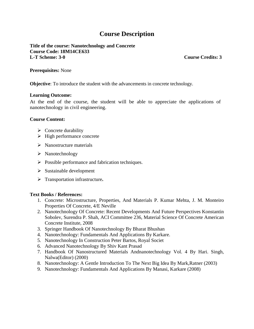**Title of the course: Nanotechnology and Concrete Course Code: 18M14CE633 L-T Scheme: 3-0 Course Credits: 3**

#### **Prerequisites:** None

**Objective**: To introduce the student with the advancements in concrete technology.

#### **Learning Outcome:**

At the end of the course, the student will be able to appreciate the applications of nanotechnology in civil engineering.

#### **Course Content:**

- $\triangleright$  Concrete durability
- $\triangleright$  High performance concrete
- $\triangleright$  Nanostructure materials
- $\triangleright$  Nanotechnology
- $\triangleright$  Possible performance and fabrication techniques.
- $\triangleright$  Sustainable development
- Transportation infrastructure**.**

- 1. Concrete: Microstructure, Properties, And Materials P. Kumar Mehta, J. M. Monteiro Properties Of Concrete, 4/E Neville
- 2. Nanotechnology Of Concrete: Recent Developments And Future Perspectives Konstantin Sobolev, Surendra P. Shah, ACI Committee 236, Material Science Of Concrete American Concrete Institute, 2008
- 3. Springer Handbook Of Nanotechnology By Bharat Bhushan
- 4. Nanotechnology: Fundamentals And Applications By Karkare.
- 5. Nanotechnology In Construction Peter Bartos, Royal Societ
- 6. Advanced Nanotechnology By Shiv Kant Prasad
- 7. Handbook Of Nanostructured Materials Andnanotechnology Vol. 4 By Hari. Singh, Nalwa(Editor) (2000)
- 8. Nanotechnology: A Gentle Introduction To The Next Big Idea By Mark,Ratner (2003)
- 9. Nanotechnology: Fundamentals And Applications By Manasi, Karkare (2008)